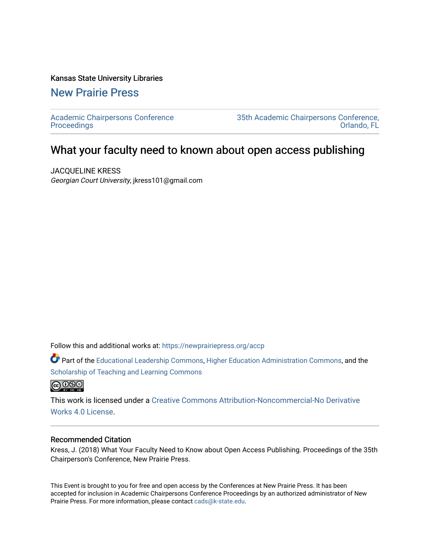#### Kansas State University Libraries

[New Prairie Press](https://newprairiepress.org/) 

[Academic Chairpersons Conference](https://newprairiepress.org/accp)  **Proceedings** 

[35th Academic Chairpersons Conference,](https://newprairiepress.org/accp/2018)  [Orlando, FL](https://newprairiepress.org/accp/2018) 

# What your faculty need to known about open access publishing

JACQUELINE KRESS Georgian Court University, jkress101@gmail.com

Follow this and additional works at: [https://newprairiepress.org/accp](https://newprairiepress.org/accp?utm_source=newprairiepress.org%2Faccp%2F2018%2Foperations%2F3&utm_medium=PDF&utm_campaign=PDFCoverPages) 

Part of the [Educational Leadership Commons,](http://network.bepress.com/hgg/discipline/1230?utm_source=newprairiepress.org%2Faccp%2F2018%2Foperations%2F3&utm_medium=PDF&utm_campaign=PDFCoverPages) [Higher Education Administration Commons,](http://network.bepress.com/hgg/discipline/791?utm_source=newprairiepress.org%2Faccp%2F2018%2Foperations%2F3&utm_medium=PDF&utm_campaign=PDFCoverPages) and the [Scholarship of Teaching and Learning Commons](http://network.bepress.com/hgg/discipline/1328?utm_source=newprairiepress.org%2Faccp%2F2018%2Foperations%2F3&utm_medium=PDF&utm_campaign=PDFCoverPages) 



This work is licensed under a [Creative Commons Attribution-Noncommercial-No Derivative](https://creativecommons.org/licenses/by-nc-nd/4.0/)  [Works 4.0 License](https://creativecommons.org/licenses/by-nc-nd/4.0/).

### Recommended Citation

Kress, J. (2018) What Your Faculty Need to Know about Open Access Publishing. Proceedings of the 35th Chairperson's Conference, New Prairie Press.

This Event is brought to you for free and open access by the Conferences at New Prairie Press. It has been accepted for inclusion in Academic Chairpersons Conference Proceedings by an authorized administrator of New Prairie Press. For more information, please contact [cads@k-state.edu.](mailto:cads@k-state.edu)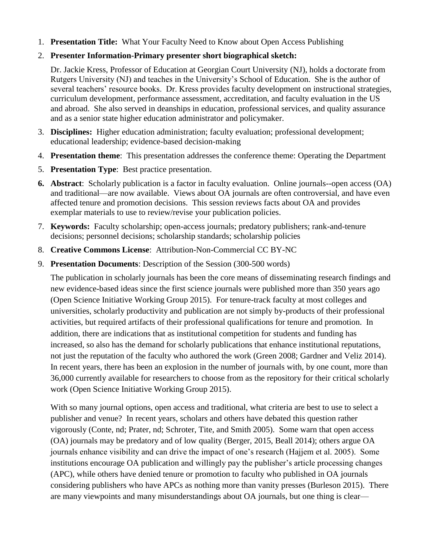1. **Presentation Title:** What Your Faculty Need to Know about Open Access Publishing

## 2. **Presenter Information-Primary presenter short biographical sketch:**

Dr. Jackie Kress, Professor of Education at Georgian Court University (NJ), holds a doctorate from Rutgers University (NJ) and teaches in the University's School of Education. She is the author of several teachers' resource books. Dr. Kress provides faculty development on instructional strategies, curriculum development, performance assessment, accreditation, and faculty evaluation in the US and abroad. She also served in deanships in education, professional services, and quality assurance and as a senior state higher education administrator and policymaker.

- 3. **Disciplines:** Higher education administration; faculty evaluation; professional development; educational leadership; evidence-based decision-making
- 4. **Presentation theme**: This presentation addresses the conference theme: Operating the Department
- 5. **Presentation Type**: Best practice presentation.
- **6. Abstract**: Scholarly publication is a factor in faculty evaluation. Online journals--open access (OA) and traditional—are now available. Views about OA journals are often controversial, and have even affected tenure and promotion decisions. This session reviews facts about OA and provides exemplar materials to use to review/revise your publication policies.
- 7. **Keywords:** Faculty scholarship; open-access journals; predatory publishers; rank-and-tenure decisions; personnel decisions; scholarship standards; scholarship policies
- 8. **Creative Commons License**: Attribution-Non-Commercial CC BY-NC
- 9. **Presentation Documents**: Description of the Session (300-500 words)

The publication in scholarly journals has been the core means of disseminating research findings and new evidence-based ideas since the first science journals were published more than 350 years ago (Open Science Initiative Working Group 2015). For tenure-track faculty at most colleges and universities, scholarly productivity and publication are not simply by-products of their professional activities, but required artifacts of their professional qualifications for tenure and promotion. In addition, there are indications that as institutional competition for students and funding has increased, so also has the demand for scholarly publications that enhance institutional reputations, not just the reputation of the faculty who authored the work (Green 2008; Gardner and Veliz 2014). In recent years, there has been an explosion in the number of journals with, by one count, more than 36,000 currently available for researchers to choose from as the repository for their critical scholarly work (Open Science Initiative Working Group 2015).

With so many journal options, open access and traditional, what criteria are best to use to select a publisher and venue? In recent years, scholars and others have debated this question rather vigorously (Conte, nd; Prater, nd; Schroter, Tite, and Smith 2005). Some warn that open access (OA) journals may be predatory and of low quality (Berger, 2015, Beall 2014); others argue OA journals enhance visibility and can drive the impact of one's research (Hajjem et al. 2005). Some institutions encourage OA publication and willingly pay the publisher's article processing changes (APC), while others have denied tenure or promotion to faculty who published in OA journals considering publishers who have APCs as nothing more than vanity presses (Burleson 2015). There are many viewpoints and many misunderstandings about OA journals, but one thing is clear—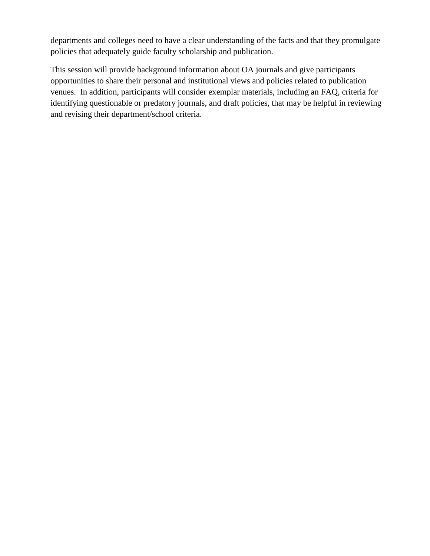departments and colleges need to have a clear understanding of the facts and that they promulgate policies that adequately guide faculty scholarship and publication.

This session will provide background information about OA journals and give participants opportunities to share their personal and institutional views and policies related to publication venues. In addition, participants will consider exemplar materials, including an FAQ, criteria for identifying questionable or predatory journals, and draft policies, that may be helpful in reviewing and revising their department/school criteria.